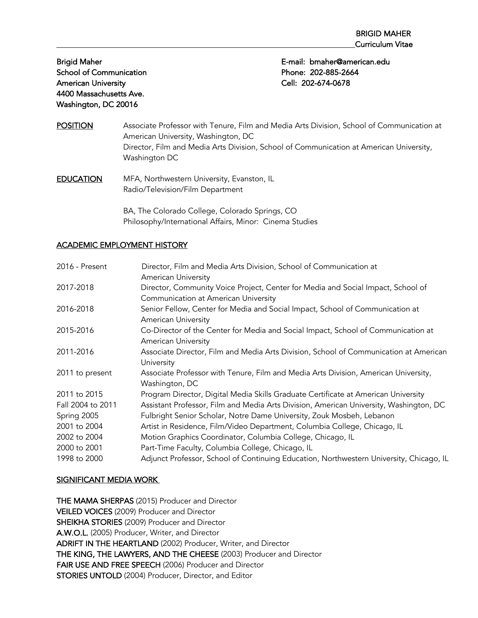School of Communication **Phone: 202-885-2664** American University **Cell: 202-674-0678** 4400 Massachusetts Ave. Washington, DC 20016

Brigid Maher E-mail: bmaher@american.edu

- POSITION Associate Professor with Tenure, Film and Media Arts Division, School of Communication at American University, Washington, DC Director, Film and Media Arts Division, School of Communication at American University, Washington DC
- **EDUCATION** MFA, Northwestern University, Evanston, IL Radio/Television/Film Department

BA, The Colorado College, Colorado Springs, CO Philosophy/International Affairs, Minor: Cinema Studies

#### ACADEMIC EMPLOYMENT HISTORY

| 2016 - Present    | Director, Film and Media Arts Division, School of Communication at<br><b>American University</b>                |
|-------------------|-----------------------------------------------------------------------------------------------------------------|
| 2017-2018         | Director, Community Voice Project, Center for Media and Social Impact, School of                                |
|                   | Communication at American University                                                                            |
| 2016-2018         | Senior Fellow, Center for Media and Social Impact, School of Communication at<br><b>American University</b>     |
| 2015-2016         | Co-Director of the Center for Media and Social Impact, School of Communication at<br><b>American University</b> |
| 2011-2016         | Associate Director, Film and Media Arts Division, School of Communication at American<br>University             |
| 2011 to present   | Associate Professor with Tenure, Film and Media Arts Division, American University,<br>Washington, DC           |
| 2011 to 2015      | Program Director, Digital Media Skills Graduate Certificate at American University                              |
| Fall 2004 to 2011 | Assistant Professor, Film and Media Arts Division, American University, Washington, DC                          |
| Spring 2005       | Fulbright Senior Scholar, Notre Dame University, Zouk Mosbeh, Lebanon                                           |
| 2001 to 2004      | Artist in Residence, Film/Video Department, Columbia College, Chicago, IL                                       |
| 2002 to 2004      | Motion Graphics Coordinator, Columbia College, Chicago, IL                                                      |
| 2000 to 2001      | Part-Time Faculty, Columbia College, Chicago, IL                                                                |
| 1998 to 2000      | Adjunct Professor, School of Continuing Education, Northwestern University, Chicago, IL                         |

#### SIGNIFICANT MEDIA WORK

THE MAMA SHERPAS (2015) Producer and Director VEILED VOICES (2009) Producer and Director SHEIKHA STORIES (2009) Producer and Director A.W.O.L. (2005) Producer, Writer, and Director ADRIFT IN THE HEARTLAND (2002) Producer, Writer, and Director THE KING, THE LAWYERS, AND THE CHEESE (2003) Producer and Director FAIR USE AND FREE SPEECH (2006) Producer and Director STORIES UNTOLD (2004) Producer, Director, and Editor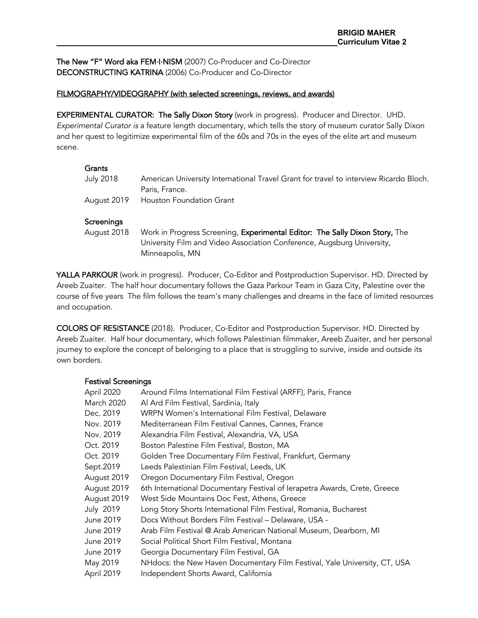The New "F" Word aka FEM·I·NISM (2007) Co-Producer and Co-Director DECONSTRUCTING KATRINA (2006) Co-Producer and Co-Director

#### FILMOGRAPHY/VIDEOGRAPHY (with selected screenings, reviews, and awards)

EXPERIMENTAL CURATOR: The Sally Dixon Story (work in progress). Producer and Director. UHD. *Experimental Curator is* a feature length documentary, which tells the story of museum curator Sally Dixon and her quest to legitimize experimental film of the 60s and 70s in the eyes of the elite art and museum scene.

#### **Grants**

| July 2018 | American University International Travel Grant for travel to interview Ricardo Bloch. |
|-----------|---------------------------------------------------------------------------------------|
|           | Paris, France.                                                                        |
|           | August 2019   Houston Foundation Grant                                                |

#### **Screenings**

August 2018 Work in Progress Screening, Experimental Editor: The Sally Dixon Story, The University Film and Video Association Conference, Augsburg University, Minneapolis, MN

YALLA PARKOUR (work in progress). Producer, Co-Editor and Postproduction Supervisor. HD. Directed by Areeb Zuaiter. The half hour documentary follows the Gaza Parkour Team in Gaza City, Palestine over the course of five years The film follows the team's many challenges and dreams in the face of limited resources and occupation.

COLORS OF RESISTANCE (2018). Producer, Co-Editor and Postproduction Supervisor. HD. Directed by Areeb Zuaiter. Half hour documentary, which follows Palestinian filmmaker, Areeb Zuaiter, and her personal journey to explore the concept of belonging to a place that is struggling to survive, inside and outside its own borders.

#### Festival Screenings

| April 2020  | Around Films International Film Festival (ARFF), Paris, France            |
|-------------|---------------------------------------------------------------------------|
| March 2020  | Al Ard Film Festival, Sardinia, Italy                                     |
| Dec. 2019   | WRPN Women's International Film Festival, Delaware                        |
| Nov. 2019   | Mediterranean Film Festival Cannes, Cannes, France                        |
| Nov. 2019   | Alexandria Film Festival, Alexandria, VA, USA                             |
| Oct. 2019   | Boston Palestine Film Festival, Boston, MA                                |
| Oct. 2019   | Golden Tree Documentary Film Festival, Frankfurt, Germany                 |
| Sept.2019   | Leeds Palestinian Film Festival, Leeds, UK                                |
| August 2019 | Oregon Documentary Film Festival, Oregon                                  |
| August 2019 | 6th International Documentary Festival of Ierapetra Awards, Crete, Greece |
| August 2019 | West Side Mountains Doc Fest, Athens, Greece                              |
| July 2019   | Long Story Shorts International Film Festival, Romania, Bucharest         |
| June 2019   | Docs Without Borders Film Festival - Delaware, USA -                      |
| June 2019   | Arab Film Festival @ Arab American National Museum, Dearborn, MI          |
| June 2019   | Social Political Short Film Festival, Montana                             |
| June 2019   | Georgia Documentary Film Festival, GA                                     |
| May 2019    | NHdocs: the New Haven Documentary Film Festival, Yale University, CT, USA |
| April 2019  | Independent Shorts Award, California                                      |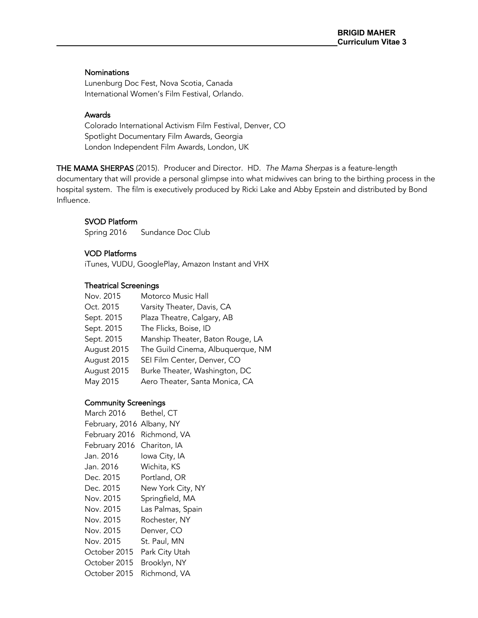#### **Nominations**

Lunenburg Doc Fest, Nova Scotia, Canada International Women's Film Festival, Orlando.

## Awards

Colorado International Activism Film Festival, Denver, CO Spotlight Documentary Film Awards, Georgia London Independent Film Awards, London, UK

THE MAMA SHERPAS (2015). Producer and Director. HD. *The Mama Sherpas* is a feature-length documentary that will provide a personal glimpse into what midwives can bring to the birthing process in the hospital system. The film is executively produced by Ricki Lake and Abby Epstein and distributed by Bond Influence.

## SVOD Platform

Spring 2016 Sundance Doc Club

### VOD Platforms

iTunes, VUDU, GooglePlay, Amazon Instant and VHX

## Theatrical Screenings

| Nov. 2015   | Motorco Music Hall                |
|-------------|-----------------------------------|
| Oct. 2015   | Varsity Theater, Davis, CA        |
| Sept. 2015  | Plaza Theatre, Calgary, AB        |
| Sept. 2015  | The Flicks, Boise, ID             |
| Sept. 2015  | Manship Theater, Baton Rouge, LA  |
| August 2015 | The Guild Cinema, Albuquerque, NM |
| August 2015 | SEI Film Center, Denver, CO       |
| August 2015 | Burke Theater, Washington, DC     |
| May 2015    | Aero Theater, Santa Monica, CA    |

#### Community Screenings

| March 2016     | Bethel, CT        |
|----------------|-------------------|
| February, 2016 | Albany, NY        |
| February 2016  | Richmond, VA      |
| February 2016  | Chariton, IA      |
| Jan. 2016      | Iowa City, IA     |
| Jan. 2016      | Wichita, KS       |
| Dec. 2015      | Portland, OR      |
| Dec. 2015      | New York City, NY |
| Nov. 2015      | Springfield, MA   |
| Nov. 2015      | Las Palmas, Spain |
| Nov. 2015      | Rochester, NY     |
| Nov. 2015      | Denver, CO        |
| Nov. 2015      | St. Paul, MN      |
| October 2015   | Park City Utah    |
| October 2015   | Brooklyn, NY      |
| October 2015   | Richmond, VA      |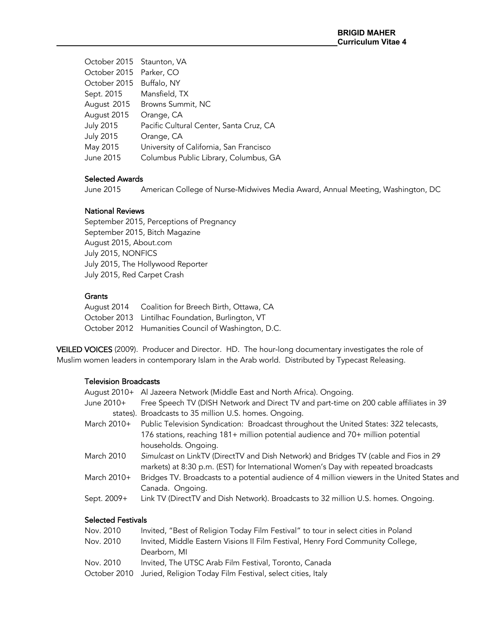| October 2015 Staunton, VA |                                         |
|---------------------------|-----------------------------------------|
| October 2015              | Parker, CO                              |
| October 2015              | Buffalo, NY                             |
| Sept. 2015                | Mansfield, TX                           |
| August 2015               | Browns Summit, NC                       |
| August 2015               | Orange, CA                              |
| <b>July 2015</b>          | Pacific Cultural Center, Santa Cruz, CA |
| <b>July 2015</b>          | Orange, CA                              |
| May 2015                  | University of California, San Francisco |
| June 2015                 | Columbus Public Library, Columbus, GA   |
|                           |                                         |

## Selected Awards

June 2015 American College of Nurse-Midwives Media Award, Annual Meeting, Washington, DC

#### National Reviews

September 2015, Perceptions of Pregnancy September 2015, Bitch Magazine August 2015, About.com July 2015, NONFICS July 2015, The Hollywood Reporter July 2015, Red Carpet Crash

## **Grants**

| August 2014 Coalition for Breech Birth, Ottawa, CA  |
|-----------------------------------------------------|
| October 2013 Lintilhac Foundation, Burlington, VT   |
| October 2012 Humanities Council of Washington, D.C. |

VEILED VOICES (2009). Producer and Director. HD. The hour-long documentary investigates the role of Muslim women leaders in contemporary Islam in the Arab world. Distributed by Typecast Releasing.

## Television Broadcasts

| August 2010+ | Al Jazeera Network (Middle East and North Africa). Ongoing.                                                                                                                |
|--------------|----------------------------------------------------------------------------------------------------------------------------------------------------------------------------|
| June 2010+   | Free Speech TV (DISH Network and Direct TV and part-time on 200 cable affiliates in 39                                                                                     |
|              | states). Broadcasts to 35 million U.S. homes. Ongoing.                                                                                                                     |
| March 2010+  | Public Television Syndication: Broadcast throughout the United States: 322 telecasts,                                                                                      |
|              | 176 stations, reaching 181+ million potential audience and 70+ million potential                                                                                           |
|              | households. Ongoing.                                                                                                                                                       |
| March 2010   | Simulcast on LinkTV (DirectTV and Dish Network) and Bridges TV (cable and Fios in 29<br>markets) at 8:30 p.m. (EST) for International Women's Day with repeated broadcasts |
| March 2010+  | Bridges TV. Broadcasts to a potential audience of 4 million viewers in the United States and<br>Canada. Ongoing.                                                           |
| Sept. 2009+  | Link TV (DirectTV and Dish Network). Broadcasts to 32 million U.S. homes. Ongoing.                                                                                         |

## Selected Festivals

| Nov. 2010 | Invited, "Best of Religion Today Film Festival" to tour in select cities in Poland |
|-----------|------------------------------------------------------------------------------------|
| Nov. 2010 | Invited, Middle Eastern Visions II Film Festival, Henry Ford Community College,    |
|           | Dearborn, MI                                                                       |
| Nov. 2010 | Invited, The UTSC Arab Film Festival, Toronto, Canada                              |
|           | October 2010 Juried, Religion Today Film Festival, select cities, Italy            |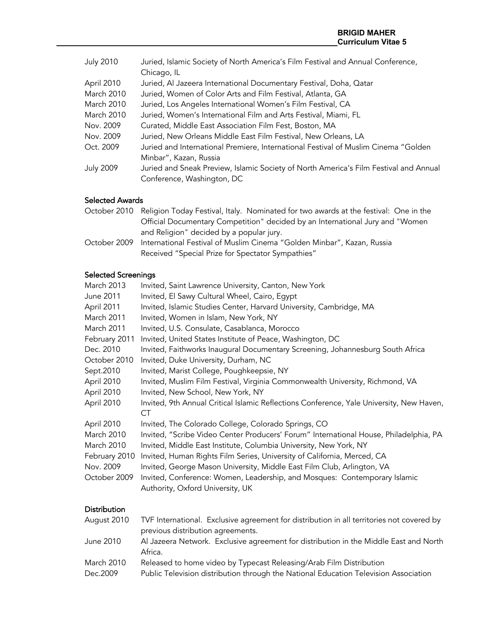| <b>July 2010</b> | Juried, Islamic Society of North America's Film Festival and Annual Conference,       |
|------------------|---------------------------------------------------------------------------------------|
|                  | Chicago, IL                                                                           |
| April 2010       | Juried, Al Jazeera International Documentary Festival, Doha, Qatar                    |
| March 2010       | Juried, Women of Color Arts and Film Festival, Atlanta, GA                            |
| March 2010       | Juried, Los Angeles International Women's Film Festival, CA                           |
| March 2010       | Juried, Women's International Film and Arts Festival, Miami, FL                       |
| Nov. 2009        | Curated, Middle East Association Film Fest, Boston, MA                                |
| Nov. 2009        | Juried, New Orleans Middle East Film Festival, New Orleans, LA                        |
| Oct. 2009        | Juried and International Premiere, International Festival of Muslim Cinema "Golden    |
|                  | Minbar", Kazan, Russia                                                                |
| <b>July 2009</b> | Juried and Sneak Preview, Islamic Society of North America's Film Festival and Annual |
|                  | Conference, Washington, DC                                                            |
|                  |                                                                                       |

# Selected Awards

|              | October 2010 Religion Today Festival, Italy. Nominated for two awards at the festival: One in the |
|--------------|---------------------------------------------------------------------------------------------------|
|              | Official Documentary Competition" decided by an International Jury and "Women"                    |
|              | and Religion" decided by a popular jury.                                                          |
| October 2009 | International Festival of Muslim Cinema "Golden Minbar", Kazan, Russia                            |
|              | Received "Special Prize for Spectator Sympathies"                                                 |

# Selected Screenings

| March 2013               | Invited, Saint Lawrence University, Canton, New York                                                                                                       |
|--------------------------|------------------------------------------------------------------------------------------------------------------------------------------------------------|
| June 2011                | Invited, El Sawy Cultural Wheel, Cairo, Egypt                                                                                                              |
| April 2011               | Invited, Islamic Studies Center, Harvard University, Cambridge, MA                                                                                         |
| March 2011               | Invited, Women in Islam, New York, NY                                                                                                                      |
| March 2011               | Invited, U.S. Consulate, Casablanca, Morocco                                                                                                               |
| February 2011            | Invited, United States Institute of Peace, Washington, DC                                                                                                  |
| Dec. 2010                | Invited, Faithworks Inaugural Documentary Screening, Johannesburg South Africa                                                                             |
| October 2010             | Invited, Duke University, Durham, NC                                                                                                                       |
| Sept.2010                | Invited, Marist College, Poughkeepsie, NY                                                                                                                  |
| April 2010               | Invited, Muslim Film Festival, Virginia Commonwealth University, Richmond, VA                                                                              |
| April 2010               | Invited, New School, New York, NY                                                                                                                          |
| April 2010               | Invited, 9th Annual Critical Islamic Reflections Conference, Yale University, New Haven,<br><b>CT</b>                                                      |
| April 2010               | Invited, The Colorado College, Colorado Springs, CO                                                                                                        |
| March 2010<br>March 2010 | Invited, "Scribe Video Center Producers' Forum" International House, Philadelphia, PA<br>Invited, Middle East Institute, Columbia University, New York, NY |
| February 2010            | Invited, Human Rights Film Series, University of California, Merced, CA                                                                                    |
| Nov. 2009                | Invited, George Mason University, Middle East Film Club, Arlington, VA                                                                                     |
| October 2009             | Invited, Conference: Women, Leadership, and Mosques: Contemporary Islamic<br>Authority, Oxford University, UK                                              |
| <b>Distribution</b>      |                                                                                                                                                            |
| August 2010              | TVF International. Exclusive agreement for distribution in all territories not covered by                                                                  |

| June 2010  | previous distribution agreements.<br>Al Jazeera Network. Exclusive agreement for distribution in the Middle East and North |
|------------|----------------------------------------------------------------------------------------------------------------------------|
|            | Africa.                                                                                                                    |
| March 2010 | Released to home video by Typecast Releasing/Arab Film Distribution                                                        |
| Dec.2009   | Public Television distribution through the National Education Television Association                                       |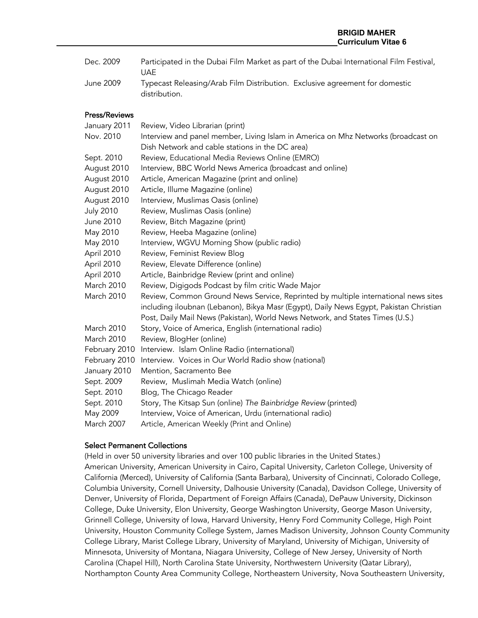Dec. 2009 Participated in the Dubai Film Market as part of the Dubai International Film Festival, UAE June 2009 Typecast Releasing/Arab Film Distribution. Exclusive agreement for domestic

#### Press/Reviews

distribution.

| January 2011     | Review, Video Librarian (print)                                                        |
|------------------|----------------------------------------------------------------------------------------|
| Nov. 2010        | Interview and panel member, Living Islam in America on Mhz Networks (broadcast on      |
|                  | Dish Network and cable stations in the DC area)                                        |
| Sept. 2010       | Review, Educational Media Reviews Online (EMRO)                                        |
| August 2010      | Interview, BBC World News America (broadcast and online)                               |
| August 2010      | Article, American Magazine (print and online)                                          |
| August 2010      | Article, Illume Magazine (online)                                                      |
| August 2010      | Interview, Muslimas Oasis (online)                                                     |
| <b>July 2010</b> | Review, Muslimas Oasis (online)                                                        |
| June 2010        | Review, Bitch Magazine (print)                                                         |
| May 2010         | Review, Heeba Magazine (online)                                                        |
| May 2010         | Interview, WGVU Morning Show (public radio)                                            |
| April 2010       | Review, Feminist Review Blog                                                           |
| April 2010       | Review, Elevate Difference (online)                                                    |
| April 2010       | Article, Bainbridge Review (print and online)                                          |
| March 2010       | Review, Digigods Podcast by film critic Wade Major                                     |
| March 2010       | Review, Common Ground News Service, Reprinted by multiple international news sites     |
|                  | including iloubnan (Lebanon), Bikya Masr (Egypt), Daily News Egypt, Pakistan Christian |
|                  | Post, Daily Mail News (Pakistan), World News Network, and States Times (U.S.)          |
| March 2010       | Story, Voice of America, English (international radio)                                 |
| March 2010       | Review, BlogHer (online)                                                               |
| February 2010    | Interview. Islam Online Radio (international)                                          |
| February 2010    | Interview. Voices in Our World Radio show (national)                                   |
| January 2010     | Mention, Sacramento Bee                                                                |
| Sept. 2009       | Review, Muslimah Media Watch (online)                                                  |
| Sept. 2010       | Blog, The Chicago Reader                                                               |
| Sept. 2010       | Story, The Kitsap Sun (online) The Bainbridge Review (printed)                         |
| May 2009         | Interview, Voice of American, Urdu (international radio)                               |
| March 2007       | Article, American Weekly (Print and Online)                                            |

#### Select Permanent Collections

(Held in over 50 university libraries and over 100 public libraries in the United States.) American University, American University in Cairo, Capital University, Carleton College, University of California (Merced), University of California (Santa Barbara), University of Cincinnati, Colorado College, Columbia University, Cornell University, Dalhousie University (Canada), Davidson College, University of Denver, University of Florida, Department of Foreign Affairs (Canada), DePauw University, Dickinson College, Duke University, Elon University, George Washington University, George Mason University, Grinnell College, University of Iowa, Harvard University, Henry Ford Community College, High Point University, Houston Community College System, James Madison University, Johnson County Community College Library, Marist College Library, University of Maryland, University of Michigan, University of Minnesota, University of Montana, Niagara University, College of New Jersey, University of North Carolina (Chapel Hill), North Carolina State University, Northwestern University (Qatar Library), Northampton County Area Community College, Northeastern University, Nova Southeastern University,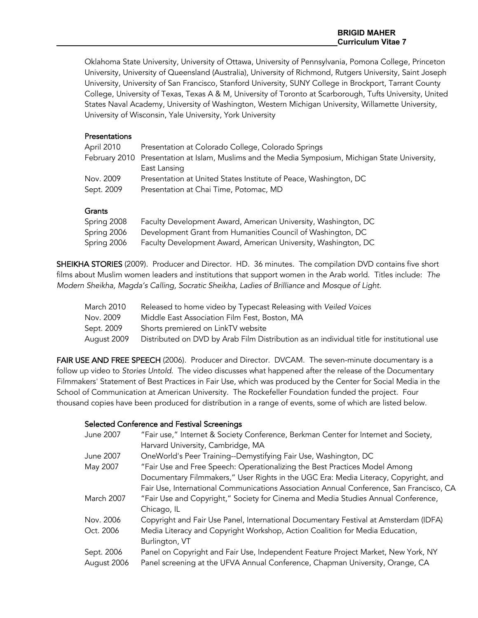#### **BRIGID MAHER Curriculum Vitae 7**

Oklahoma State University, University of Ottawa, University of Pennsylvania, Pomona College, Princeton University, University of Queensland (Australia), University of Richmond, Rutgers University, Saint Joseph University, University of San Francisco, Stanford University, SUNY College in Brockport, Tarrant County College, University of Texas, Texas A & M, University of Toronto at Scarborough, Tufts University, United States Naval Academy, University of Washington, Western Michigan University, Willamette University, University of Wisconsin, Yale University, York University

## **Presentations**

| April 2010 | Presentation at Colorado College, Colorado Springs                                               |
|------------|--------------------------------------------------------------------------------------------------|
|            | February 2010 Presentation at Islam, Muslims and the Media Symposium, Michigan State University, |
|            | East Lansing                                                                                     |
| Nov. 2009  | Presentation at United States Institute of Peace, Washington, DC                                 |
| Sept. 2009 | Presentation at Chai Time, Potomac, MD                                                           |
|            |                                                                                                  |

## **Grants**

| Spring 2008 | Faculty Development Award, American University, Washington, DC |
|-------------|----------------------------------------------------------------|
| Spring 2006 | Development Grant from Humanities Council of Washington, DC    |
| Spring 2006 | Faculty Development Award, American University, Washington, DC |

SHEIKHA STORIES (2009). Producer and Director. HD. 36 minutes. The compilation DVD contains five short films about Muslim women leaders and institutions that support women in the Arab world. Titles include: *The Modern Sheikha, Magda's Calling, Socratic Sheikha, Ladies of Brilliance* and *Mosque of Light.*

| March 2010  | Released to home video by Typecast Releasing with Veiled Voices                           |
|-------------|-------------------------------------------------------------------------------------------|
| Nov. 2009   | Middle East Association Film Fest, Boston, MA                                             |
| Sept. 2009  | Shorts premiered on LinkTV website                                                        |
| August 2009 | Distributed on DVD by Arab Film Distribution as an individual title for institutional use |

FAIR USE AND FREE SPEECH (2006). Producer and Director. DVCAM. The seven-minute documentary is a follow up video to *Stories Untold*. The video discusses what happened after the release of the Documentary Filmmakers' Statement of Best Practices in Fair Use, which was produced by the Center for Social Media in the School of Communication at American University. The Rockefeller Foundation funded the project. Four thousand copies have been produced for distribution in a range of events, some of which are listed below.

#### Selected Conference and Festival Screenings

| June 2007   | "Fair use," Internet & Society Conference, Berkman Center for Internet and Society,     |
|-------------|-----------------------------------------------------------------------------------------|
|             | Harvard University, Cambridge, MA                                                       |
| June 2007   | OneWorld's Peer Training--Demystifying Fair Use, Washington, DC                         |
| May 2007    | "Fair Use and Free Speech: Operationalizing the Best Practices Model Among              |
|             | Documentary Filmmakers," User Rights in the UGC Era: Media Literacy, Copyright, and     |
|             | Fair Use, International Communications Association Annual Conference, San Francisco, CA |
| March 2007  | "Fair Use and Copyright," Society for Cinema and Media Studies Annual Conference,       |
|             | Chicago, IL                                                                             |
| Nov. 2006   | Copyright and Fair Use Panel, International Documentary Festival at Amsterdam (IDFA)    |
| Oct. 2006   | Media Literacy and Copyright Workshop, Action Coalition for Media Education,            |
|             | Burlington, VT                                                                          |
| Sept. 2006  | Panel on Copyright and Fair Use, Independent Feature Project Market, New York, NY       |
| August 2006 | Panel screening at the UFVA Annual Conference, Chapman University, Orange, CA           |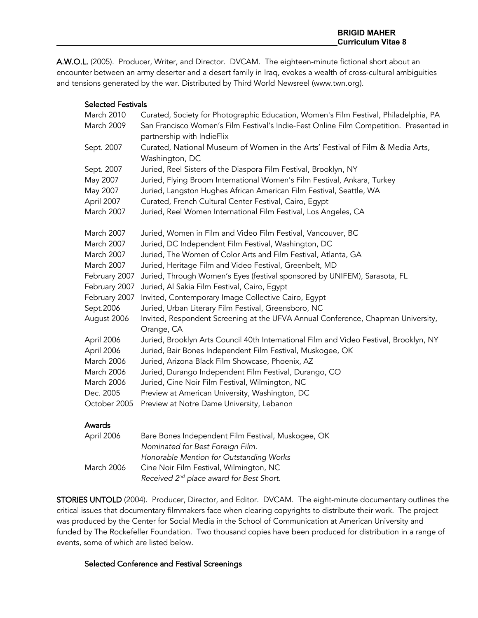A.W.O.L. (2005). Producer, Writer, and Director. DVCAM. The eighteen-minute fictional short about an encounter between an army deserter and a desert family in Iraq, evokes a wealth of cross-cultural ambiguities and tensions generated by the war. Distributed by Third World Newsreel (www.twn.org).

#### Selected Festivals

| March 2010    | Curated, Society for Photographic Education, Women's Film Festival, Philadelphia, PA                                 |
|---------------|----------------------------------------------------------------------------------------------------------------------|
| March 2009    | San Francisco Women's Film Festival's Indie-Fest Online Film Competition. Presented in<br>partnership with IndieFlix |
| Sept. 2007    | Curated, National Museum of Women in the Arts' Festival of Film & Media Arts,<br>Washington, DC                      |
| Sept. 2007    | Juried, Reel Sisters of the Diaspora Film Festival, Brooklyn, NY                                                     |
| May 2007      | Juried, Flying Broom International Women's Film Festival, Ankara, Turkey                                             |
| May 2007      | Juried, Langston Hughes African American Film Festival, Seattle, WA                                                  |
| April 2007    | Curated, French Cultural Center Festival, Cairo, Egypt                                                               |
| March 2007    | Juried, Reel Women International Film Festival, Los Angeles, CA                                                      |
| March 2007    | Juried, Women in Film and Video Film Festival, Vancouver, BC                                                         |
| March 2007    | Juried, DC Independent Film Festival, Washington, DC                                                                 |
| March 2007    | Juried, The Women of Color Arts and Film Festival, Atlanta, GA                                                       |
| March 2007    | Juried, Heritage Film and Video Festival, Greenbelt, MD                                                              |
| February 2007 | Juried, Through Women's Eyes (festival sponsored by UNIFEM), Sarasota, FL                                            |
| February 2007 | Juried, Al Sakia Film Festival, Cairo, Egypt                                                                         |
| February 2007 | Invited, Contemporary Image Collective Cairo, Egypt                                                                  |
| Sept.2006     | Juried, Urban Literary Film Festival, Greensboro, NC                                                                 |
| August 2006   | Invited, Respondent Screening at the UFVA Annual Conference, Chapman University,<br>Orange, CA                       |
| April 2006    | Juried, Brooklyn Arts Council 40th International Film and Video Festival, Brooklyn, NY                               |
| April 2006    | Juried, Bair Bones Independent Film Festival, Muskogee, OK                                                           |
| March 2006    | Juried, Arizona Black Film Showcase, Phoenix, AZ                                                                     |
| March 2006    | Juried, Durango Independent Film Festival, Durango, CO                                                               |
| March 2006    | Juried, Cine Noir Film Festival, Wilmington, NC                                                                      |
| Dec. 2005     | Preview at American University, Washington, DC                                                                       |
| October 2005  | Preview at Notre Dame University, Lebanon                                                                            |
| Awards        |                                                                                                                      |
| April 2006    | Bare Bones Independent Film Festival, Muskogee, OK                                                                   |
|               | Nominated for Best Foreign Film.                                                                                     |
|               | Honorable Mention for Outstanding Works                                                                              |
| March 2006    | Cine Noir Film Festival, Wilmington, NC                                                                              |

*Received 2nd place award for Best Short.*

STORIES UNTOLD (2004). Producer, Director, and Editor. DVCAM. The eight-minute documentary outlines the critical issues that documentary filmmakers face when clearing copyrights to distribute their work. The project was produced by the Center for Social Media in the School of Communication at American University and funded by The Rockefeller Foundation. Two thousand copies have been produced for distribution in a range of events, some of which are listed below.

## Selected Conference and Festival Screenings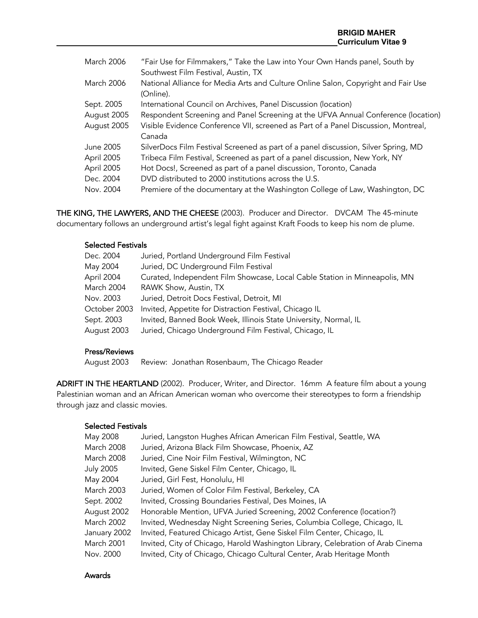| March 2006        | "Fair Use for Filmmakers," Take the Law into Your Own Hands panel, South by        |
|-------------------|------------------------------------------------------------------------------------|
|                   | Southwest Film Festival, Austin, TX                                                |
| <b>March 2006</b> | National Alliance for Media Arts and Culture Online Salon, Copyright and Fair Use  |
|                   | (Online).                                                                          |
| Sept. 2005        | International Council on Archives, Panel Discussion (location)                     |
| August 2005       | Respondent Screening and Panel Screening at the UFVA Annual Conference (location)  |
| August 2005       | Visible Evidence Conference VII, screened as Part of a Panel Discussion, Montreal, |
|                   | Canada                                                                             |
| June 2005         | SilverDocs Film Festival Screened as part of a panel discussion, Silver Spring, MD |
| April 2005        | Tribeca Film Festival, Screened as part of a panel discussion, New York, NY        |
| April 2005        | Hot Docs!, Screened as part of a panel discussion, Toronto, Canada                 |
| Dec. 2004         | DVD distributed to 2000 institutions across the U.S.                               |
| Nov. 2004         | Premiere of the documentary at the Washington College of Law, Washington, DC       |
|                   |                                                                                    |

THE KING, THE LAWYERS, AND THE CHEESE (2003). Producer and Director. DVCAM The 45-minute documentary follows an underground artist's legal fight against Kraft Foods to keep his nom de plume.

## Selected Festivals

| Dec. 2004    | Juried, Portland Underground Film Festival                                 |
|--------------|----------------------------------------------------------------------------|
| May 2004     | Juried, DC Underground Film Festival                                       |
| April 2004   | Curated, Independent Film Showcase, Local Cable Station in Minneapolis, MN |
| March 2004   | RAWK Show, Austin, TX                                                      |
| Nov. 2003    | Juried, Detroit Docs Festival, Detroit, MI                                 |
| October 2003 | Invited, Appetite for Distraction Festival, Chicago IL                     |
| Sept. 2003   | Invited, Banned Book Week, Illinois State University, Normal, IL           |
| August 2003  | Juried, Chicago Underground Film Festival, Chicago, IL                     |
|              |                                                                            |

## Press/Reviews

August 2003 Review: Jonathan Rosenbaum, The Chicago Reader

ADRIFT IN THE HEARTLAND (2002). Producer, Writer, and Director. 16mm A feature film about a young Palestinian woman and an African American woman who overcome their stereotypes to form a friendship through jazz and classic movies.

## Selected Festivals

| May 2008          | Juried, Langston Hughes African American Film Festival, Seattle, WA             |
|-------------------|---------------------------------------------------------------------------------|
| <b>March 2008</b> | Juried, Arizona Black Film Showcase, Phoenix, AZ                                |
| <b>March 2008</b> | Juried, Cine Noir Film Festival, Wilmington, NC                                 |
| <b>July 2005</b>  | Invited, Gene Siskel Film Center, Chicago, IL                                   |
| May 2004          | Juried, Girl Fest, Honolulu, HI                                                 |
| March 2003        | Juried, Women of Color Film Festival, Berkeley, CA                              |
| Sept. 2002        | Invited, Crossing Boundaries Festival, Des Moines, IA                           |
| August 2002       | Honorable Mention, UFVA Juried Screening, 2002 Conference (location?)           |
| <b>March 2002</b> | Invited, Wednesday Night Screening Series, Columbia College, Chicago, IL        |
| January 2002      | Invited, Featured Chicago Artist, Gene Siskel Film Center, Chicago, IL          |
| March 2001        | Invited, City of Chicago, Harold Washington Library, Celebration of Arab Cinema |
| Nov. 2000         | Invited, City of Chicago, Chicago Cultural Center, Arab Heritage Month          |

#### Awards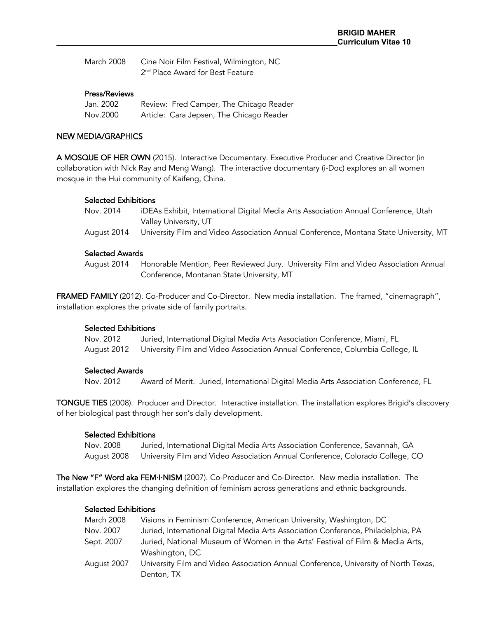| March 2008 | Cine Noir Film Festival, Wilmington, NC      |
|------------|----------------------------------------------|
|            | 2 <sup>nd</sup> Place Award for Best Feature |

#### Press/Reviews

| Jan. 2002 | Review: Fred Camper, The Chicago Reader  |
|-----------|------------------------------------------|
| Nov.2000  | Article: Cara Jepsen, The Chicago Reader |

#### NEW MEDIA/GRAPHICS

A MOSQUE OF HER OWN (2015). Interactive Documentary. Executive Producer and Creative Director (in collaboration with Nick Ray and Meng Wang). The interactive documentary (i-Doc) explores an all women mosque in the Hui community of Kaifeng, China.

#### Selected Exhibitions

| Nov. 2014   | iDEAs Exhibit, International Digital Media Arts Association Annual Conference, Utah   |
|-------------|---------------------------------------------------------------------------------------|
|             | Valley University, UT                                                                 |
| August 2014 | University Film and Video Association Annual Conference, Montana State University, MT |

#### Selected Awards

August 2014 Honorable Mention, Peer Reviewed Jury. University Film and Video Association Annual Conference, Montanan State University, MT

FRAMED FAMILY (2012). Co-Producer and Co-Director. New media installation. The framed, "cinemagraph", installation explores the private side of family portraits.

#### Selected Exhibitions

Nov. 2012 Juried, International Digital Media Arts Association Conference, Miami, FL August 2012 University Film and Video Association Annual Conference, Columbia College, IL

#### Selected Awards

Nov. 2012 Award of Merit. Juried, International Digital Media Arts Association Conference, FL

TONGUE TIES (2008). Producer and Director. Interactive installation. The installation explores Brigid's discovery of her biological past through her son's daily development.

#### Selected Exhibitions

Nov. 2008 Juried, International Digital Media Arts Association Conference, Savannah, GA August 2008 University Film and Video Association Annual Conference, Colorado College, CO

The New "F" Word aka FEM·I·NISM (2007). Co-Producer and Co-Director. New media installation. The installation explores the changing definition of feminism across generations and ethnic backgrounds.

#### Selected Exhibitions

| March 2008  | Visions in Feminism Conference, American University, Washington, DC                 |
|-------------|-------------------------------------------------------------------------------------|
| Nov. 2007   | Juried, International Digital Media Arts Association Conference, Philadelphia, PA   |
| Sept. 2007  | Juried, National Museum of Women in the Arts' Festival of Film & Media Arts,        |
|             | Washington, DC                                                                      |
| August 2007 | University Film and Video Association Annual Conference, University of North Texas, |
|             | Denton, TX                                                                          |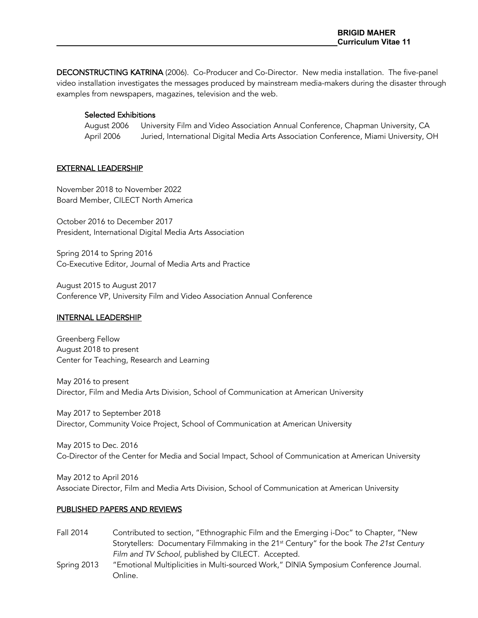DECONSTRUCTING KATRINA (2006). Co-Producer and Co-Director. New media installation. The five-panel video installation investigates the messages produced by mainstream media-makers during the disaster through examples from newspapers, magazines, television and the web.

## Selected Exhibitions

August 2006 University Film and Video Association Annual Conference, Chapman University, CA April 2006 Juried, International Digital Media Arts Association Conference, Miami University, OH

#### EXTERNAL LEADERSHIP

November 2018 to November 2022 Board Member, CILECT North America

October 2016 to December 2017 President, International Digital Media Arts Association

Spring 2014 to Spring 2016 Co-Executive Editor, Journal of Media Arts and Practice

August 2015 to August 2017 Conference VP, University Film and Video Association Annual Conference

#### INTERNAL LEADERSHIP

Greenberg Fellow August 2018 to present Center for Teaching, Research and Learning

May 2016 to present Director, Film and Media Arts Division, School of Communication at American University

May 2017 to September 2018 Director, Community Voice Project, School of Communication at American University

May 2015 to Dec. 2016 Co-Director of the Center for Media and Social Impact, School of Communication at American University

May 2012 to April 2016 Associate Director, Film and Media Arts Division, School of Communication at American University

#### PUBLISHED PAPERS AND REVIEWS

- Fall 2014 Contributed to section, "Ethnographic Film and the Emerging i-Doc" to Chapter, "New Storytellers: Documentary Filmmaking in the 21st Century" for the book *The 21st Century Film and TV School*, published by CILECT. Accepted.
- Spring 2013 "Emotional Multiplicities in Multi-sourced Work," D|N|A Symposium Conference Journal. Online.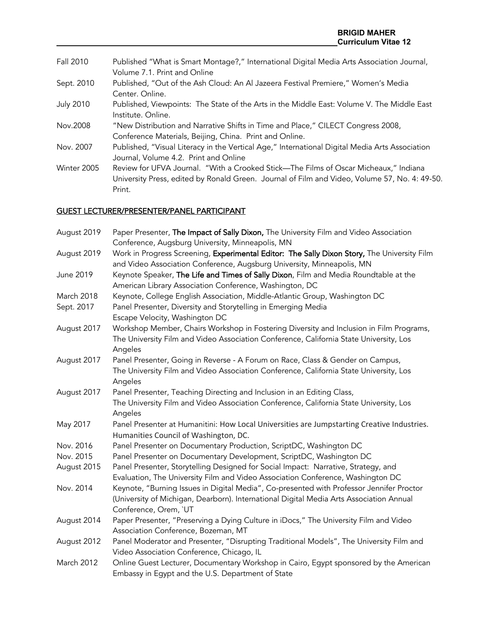| Fall 2010        | Published "What is Smart Montage?," International Digital Media Arts Association Journal,                                               |
|------------------|-----------------------------------------------------------------------------------------------------------------------------------------|
|                  | Volume 7.1. Print and Online                                                                                                            |
| Sept. 2010       | Published, "Out of the Ash Cloud: An Al Jazeera Festival Premiere," Women's Media                                                       |
|                  | Center, Online.                                                                                                                         |
| <b>July 2010</b> | Published, Viewpoints: The State of the Arts in the Middle East: Volume V. The Middle East<br>Institute. Online.                        |
| Nov.2008         | "New Distribution and Narrative Shifts in Time and Place," CILECT Congress 2008,                                                        |
|                  | Conference Materials, Beijing, China. Print and Online.                                                                                 |
| Nov. 2007        | Published, "Visual Literacy in the Vertical Age," International Digital Media Arts Association<br>Journal, Volume 4.2. Print and Online |
| Winter 2005      | Review for UFVA Journal. "With a Crooked Stick—The Films of Oscar Micheaux," Indiana                                                    |
|                  | University Press, edited by Ronald Green. Journal of Film and Video, Volume 57, No. 4: 49-50.                                           |

# GUEST LECTURER/PRESENTER/PANEL PARTICIPANT

Print.

| August 2019 | Paper Presenter, The Impact of Sally Dixon, The University Film and Video Association                                                                                                                                                                                                           |
|-------------|-------------------------------------------------------------------------------------------------------------------------------------------------------------------------------------------------------------------------------------------------------------------------------------------------|
|             | Conference, Augsburg University, Minneapolis, MN                                                                                                                                                                                                                                                |
| August 2019 | Work in Progress Screening, Experimental Editor: The Sally Dixon Story, The University Film                                                                                                                                                                                                     |
|             | and Video Association Conference, Augsburg University, Minneapolis, MN                                                                                                                                                                                                                          |
| June 2019   | Keynote Speaker, The Life and Times of Sally Dixon, Film and Media Roundtable at the<br>American Library Association Conference, Washington, DC                                                                                                                                                 |
| March 2018  | Keynote, College English Association, Middle-Atlantic Group, Washington DC                                                                                                                                                                                                                      |
| Sept. 2017  | Panel Presenter, Diversity and Storytelling in Emerging Media                                                                                                                                                                                                                                   |
|             | Escape Velocity, Washington DC                                                                                                                                                                                                                                                                  |
| August 2017 | Workshop Member, Chairs Workshop in Fostering Diversity and Inclusion in Film Programs,<br>The University Film and Video Association Conference, California State University, Los<br>Angeles                                                                                                    |
| August 2017 | Panel Presenter, Going in Reverse - A Forum on Race, Class & Gender on Campus,                                                                                                                                                                                                                  |
|             | The University Film and Video Association Conference, California State University, Los<br>Angeles                                                                                                                                                                                               |
| August 2017 | Panel Presenter, Teaching Directing and Inclusion in an Editing Class,                                                                                                                                                                                                                          |
|             | The University Film and Video Association Conference, California State University, Los<br>Angeles                                                                                                                                                                                               |
| May 2017    | Panel Presenter at Humanitini: How Local Universities are Jumpstarting Creative Industries.                                                                                                                                                                                                     |
|             | Humanities Council of Washington, DC.                                                                                                                                                                                                                                                           |
| Nov. 2016   | Panel Presenter on Documentary Production, ScriptDC, Washington DC                                                                                                                                                                                                                              |
| Nov. 2015   | Panel Presenter on Documentary Development, ScriptDC, Washington DC                                                                                                                                                                                                                             |
| August 2015 | Panel Presenter, Storytelling Designed for Social Impact: Narrative, Strategy, and                                                                                                                                                                                                              |
| Nov. 2014   | Evaluation, The University Film and Video Association Conference, Washington DC<br>Keynote, "Burning Issues in Digital Media", Co-presented with Professor Jennifer Proctor<br>(University of Michigan, Dearborn). International Digital Media Arts Association Annual<br>Conference, Orem, `UT |
| August 2014 | Paper Presenter, "Preserving a Dying Culture in iDocs," The University Film and Video<br>Association Conference, Bozeman, MT                                                                                                                                                                    |
| August 2012 | Panel Moderator and Presenter, "Disrupting Traditional Models", The University Film and<br>Video Association Conference, Chicago, IL                                                                                                                                                            |
| March 2012  | Online Guest Lecturer, Documentary Workshop in Cairo, Egypt sponsored by the American<br>Embassy in Egypt and the U.S. Department of State                                                                                                                                                      |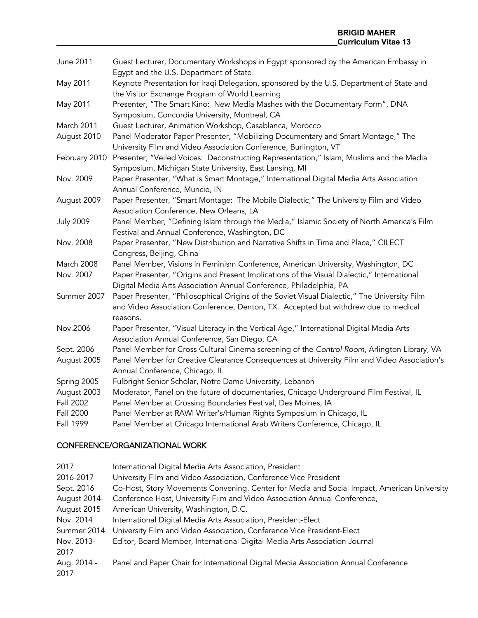| June 2011        | Guest Lecturer, Documentary Workshops in Egypt sponsored by the American Embassy in          |
|------------------|----------------------------------------------------------------------------------------------|
|                  | Egypt and the U.S. Department of State                                                       |
| May 2011         | Keynote Presentation for Iraqi Delegation, sponsored by the U.S. Department of State and     |
|                  | the Visitor Exchange Program of World Learning                                               |
| May 2011         | Presenter, "The Smart Kino: New Media Mashes with the Documentary Form", DNA                 |
|                  | Symposium, Concordia University, Montreal, CA                                                |
| March 2011       | Guest Lecturer, Animation Workshop, Casablanca, Morocco                                      |
| August 2010      | Panel Moderator Paper Presenter, "Mobilizing Documentary and Smart Montage," The             |
|                  | University Film and Video Association Conference, Burlington, VT                             |
| February 2010    | Presenter, "Veiled Voices: Deconstructing Representation," Islam, Muslims and the Media      |
|                  | Symposium, Michigan State University, East Lansing, MI                                       |
| Nov. 2009        | Paper Presenter, "What is Smart Montage," International Digital Media Arts Association       |
|                  | Annual Conference, Muncie, IN                                                                |
| August 2009      | Paper Presenter, "Smart Montage: The Mobile Dialectic," The University Film and Video        |
|                  | Association Conference, New Orleans, LA                                                      |
| <b>July 2009</b> | Panel Member, "Defining Islam through the Media," Islamic Society of North America's Film    |
|                  | Festival and Annual Conference, Washington, DC                                               |
| Nov. 2008        | Paper Presenter, "New Distribution and Narrative Shifts in Time and Place," CILECT           |
|                  | Congress, Beijing, China                                                                     |
| March 2008       | Panel Member, Visions in Feminism Conference, American University, Washington, DC            |
| Nov. 2007        | Paper Presenter, "Origins and Present Implications of the Visual Dialectic," International   |
|                  | Digital Media Arts Association Annual Conference, Philadelphia, PA                           |
| Summer 2007      | Paper Presenter, "Philosophical Origins of the Soviet Visual Dialectic," The University Film |
|                  | and Video Association Conference, Denton, TX. Accepted but withdrew due to medical           |
|                  | reasons.                                                                                     |
| Nov.2006         | Paper Presenter, "Visual Literacy in the Vertical Age," International Digital Media Arts     |
|                  | Association Annual Conference, San Diego, CA                                                 |
| Sept. 2006       | Panel Member for Cross Cultural Cinema screening of the Control Room, Arlington Library, VA  |
| August 2005      | Panel Member for Creative Clearance Consequences at University Film and Video Association's  |
|                  | Annual Conference, Chicago, IL                                                               |
| Spring 2005      | Fulbright Senior Scholar, Notre Dame University, Lebanon                                     |
| August 2003      | Moderator, Panel on the future of documentaries, Chicago Underground Film Festival, IL       |
| Fall 2002        | Panel Member at Crossing Boundaries Festival, Des Moines, IA                                 |
| Fall 2000        | Panel Member at RAWI Writer's/Human Rights Symposium in Chicago, IL                          |
| Fall 1999        | Panel Member at Chicago International Arab Writers Conference, Chicago, IL                   |

# CONFERENCE/ORGANIZATIONAL WORK

| 2017         | International Digital Media Arts Association, President                                     |
|--------------|---------------------------------------------------------------------------------------------|
| 2016-2017    | University Film and Video Association, Conference Vice President                            |
| Sept. 2016   | Co-Host, Story Movements Convening, Center for Media and Social Impact, American University |
| August 2014- | Conference Host, University Film and Video Association Annual Conference,                   |
| August 2015  | American University, Washington, D.C.                                                       |
| Nov. 2014    | International Digital Media Arts Association, President-Elect                               |
| Summer 2014  | University Film and Video Association, Conference Vice President-Elect                      |
| Nov. 2013-   | Editor, Board Member, International Digital Media Arts Association Journal                  |
| 2017         |                                                                                             |
| Aug. 2014 -  | Panel and Paper Chair for International Digital Media Association Annual Conference         |
| 2017         |                                                                                             |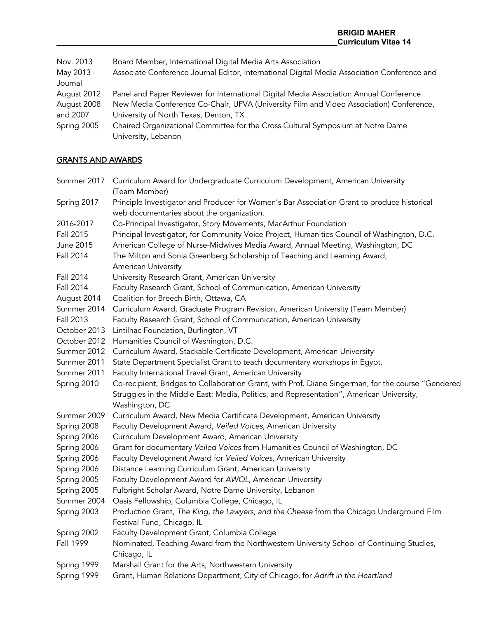| Nov. 2013   | Board Member, International Digital Media Arts Association                                  |
|-------------|---------------------------------------------------------------------------------------------|
| May 2013 -  | Associate Conference Journal Editor, International Digital Media Association Conference and |
| Journal     |                                                                                             |
| August 2012 | Panel and Paper Reviewer for International Digital Media Association Annual Conference      |
| August 2008 | New Media Conference Co-Chair, UFVA (University Film and Video Association) Conference,     |
| and 2007    | University of North Texas, Denton, TX                                                       |
| Spring 2005 | Chaired Organizational Committee for the Cross Cultural Symposium at Notre Dame             |
|             | University, Lebanon                                                                         |

## GRANTS AND AWARDS

- Summer 2017 Curriculum Award for Undergraduate Curriculum Development, American University (Team Member)
- Spring 2017 Principle Investigator and Producer for Women's Bar Association Grant to produce historical web documentaries about the organization.
- 2016-2017 Co-Principal Investigator, Story Movements, MacArthur Foundation
- Fall 2015 Principal Investigator, for Community Voice Project, Humanities Council of Washington, D.C.
- June 2015 American College of Nurse-Midwives Media Award, Annual Meeting, Washington, DC
- Fall 2014 The Milton and Sonia Greenberg Scholarship of Teaching and Learning Award, American University
- Fall 2014 University Research Grant, American University
- Fall 2014 Faculty Research Grant, School of Communication, American University
- August 2014 Coalition for Breech Birth, Ottawa, CA
- Summer 2014 Curriculum Award, Graduate Program Revision, American University (Team Member)
- Fall 2013 Faculty Research Grant, School of Communication, American University
- October 2013 Lintilhac Foundation, Burlington, VT
- October 2012 Humanities Council of Washington, D.C.
- Summer 2012 Curriculum Award, Stackable Certificate Development, American University
- Summer 2011 State Department Specialist Grant to teach documentary workshops in Egypt.
- Summer 2011 Faculty International Travel Grant, American University
- Spring 2010 Co-recipient, Bridges to Collaboration Grant, with Prof. Diane Singerman, for the course "Gendered Struggles in the Middle East: Media, Politics, and Representation", American University, Washington, DC
- Summer 2009 Curriculum Award, New Media Certificate Development, American University
- Spring 2008 Faculty Development Award, *Veiled Voices*, American University
- Spring 2006 Curriculum Development Award, American University
- Spring 2006 Grant for documentary *Veiled Voices* from Humanities Council of Washington, DC
- Spring 2006 Faculty Development Award for *Veiled Voices*, American University
- Spring 2006 Distance Learning Curriculum Grant, American University
- Spring 2005 Faculty Development Award for *AWOL*, American University
- Spring 2005 Fulbright Scholar Award, Notre Dame University, Lebanon
- Summer 2004 Oasis Fellowship, Columbia College, Chicago, IL
- Spring 2003 Production Grant, *The King, the Lawyers, and the Cheese* from the Chicago Underground Film Festival Fund, Chicago, IL
- Spring 2002 Faculty Development Grant, Columbia College
- Fall 1999 Nominated, Teaching Award from the Northwestern University School of Continuing Studies, Chicago, IL
- Spring 1999 Marshall Grant for the Arts, Northwestern University
- Spring 1999 Grant, Human Relations Department, City of Chicago, for *Adrift in the Heartland*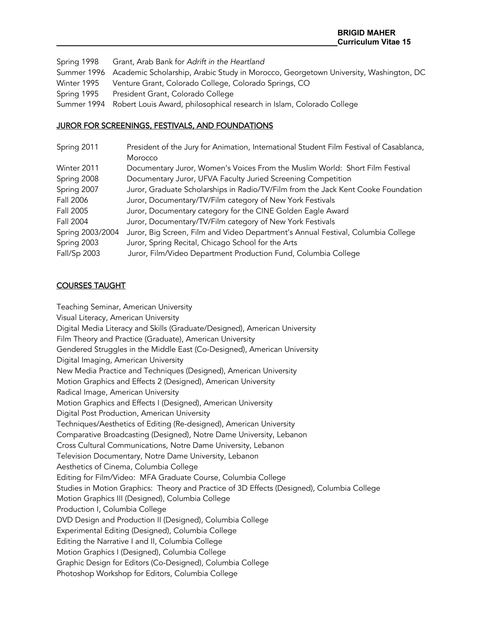Spring 1998 Grant, Arab Bank for *Adrift in the Heartland* Summer 1996 Academic Scholarship, Arabic Study in Morocco, Georgetown University, Washington, DC Winter 1995 Venture Grant, Colorado College, Colorado Springs, CO Spring 1995 President Grant, Colorado College Summer 1994 Robert Louis Award*,* philosophical research in Islam, Colorado College

## JUROR FOR SCREENINGS, FESTIVALS, AND FOUNDATIONS

| Spring 2011      | President of the Jury for Animation, International Student Film Festival of Casablanca, |
|------------------|-----------------------------------------------------------------------------------------|
|                  | Morocco                                                                                 |
| Winter 2011      | Documentary Juror, Women's Voices From the Muslim World: Short Film Festival            |
| Spring 2008      | Documentary Juror, UFVA Faculty Juried Screening Competition                            |
| Spring 2007      | Juror, Graduate Scholarships in Radio/TV/Film from the Jack Kent Cooke Foundation       |
| Fall 2006        | Juror, Documentary/TV/Film category of New York Festivals                               |
| Fall 2005        | Juror, Documentary category for the CINE Golden Eagle Award                             |
| Fall 2004        | Juror, Documentary/TV/Film category of New York Festivals                               |
| Spring 2003/2004 | Juror, Big Screen, Film and Video Department's Annual Festival, Columbia College        |
| Spring 2003      | Juror, Spring Recital, Chicago School for the Arts                                      |
| Fall/Sp 2003     | Juror, Film/Video Department Production Fund, Columbia College                          |

## COURSES TAUGHT

Teaching Seminar, American University Visual Literacy, American University Digital Media Literacy and Skills (Graduate/Designed), American University Film Theory and Practice (Graduate), American University Gendered Struggles in the Middle East (Co-Designed), American University Digital Imaging, American University New Media Practice and Techniques (Designed), American University Motion Graphics and Effects 2 (Designed), American University Radical Image, American University Motion Graphics and Effects I (Designed), American University Digital Post Production, American University Techniques/Aesthetics of Editing (Re-designed), American University Comparative Broadcasting (Designed), Notre Dame University, Lebanon Cross Cultural Communications, Notre Dame University, Lebanon Television Documentary, Notre Dame University, Lebanon Aesthetics of Cinema, Columbia College Editing for Film/Video: MFA Graduate Course, Columbia College Studies in Motion Graphics: Theory and Practice of 3D Effects (Designed), Columbia College Motion Graphics III (Designed), Columbia College Production I, Columbia College DVD Design and Production II (Designed), Columbia College Experimental Editing (Designed), Columbia College Editing the Narrative I and II, Columbia College Motion Graphics I (Designed), Columbia College Graphic Design for Editors (Co-Designed), Columbia College Photoshop Workshop for Editors, Columbia College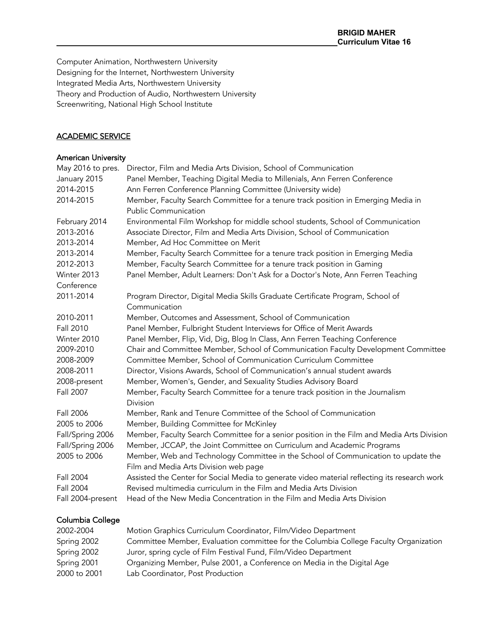Computer Animation, Northwestern University Designing for the Internet, Northwestern University Integrated Media Arts, Northwestern University Theory and Production of Audio, Northwestern University Screenwriting, National High School Institute

## ACADEMIC SERVICE

#### American University

| May 2016 to pres. | Director, Film and Media Arts Division, School of Communication                              |
|-------------------|----------------------------------------------------------------------------------------------|
| January 2015      | Panel Member, Teaching Digital Media to Millenials, Ann Ferren Conference                    |
| 2014-2015         | Ann Ferren Conference Planning Committee (University wide)                                   |
| 2014-2015         | Member, Faculty Search Committee for a tenure track position in Emerging Media in            |
|                   | <b>Public Communication</b>                                                                  |
| February 2014     | Environmental Film Workshop for middle school students, School of Communication              |
| 2013-2016         | Associate Director, Film and Media Arts Division, School of Communication                    |
| 2013-2014         | Member, Ad Hoc Committee on Merit                                                            |
| 2013-2014         | Member, Faculty Search Committee for a tenure track position in Emerging Media               |
| 2012-2013         | Member, Faculty Search Committee for a tenure track position in Gaming                       |
| Winter 2013       | Panel Member, Adult Learners: Don't Ask for a Doctor's Note, Ann Ferren Teaching             |
| Conference        |                                                                                              |
| 2011-2014         | Program Director, Digital Media Skills Graduate Certificate Program, School of               |
|                   | Communication                                                                                |
| 2010-2011         | Member, Outcomes and Assessment, School of Communication                                     |
| <b>Fall 2010</b>  | Panel Member, Fulbright Student Interviews for Office of Merit Awards                        |
| Winter 2010       | Panel Member, Flip, Vid, Dig, Blog In Class, Ann Ferren Teaching Conference                  |
| 2009-2010         | Chair and Committee Member, School of Communication Faculty Development Committee            |
| 2008-2009         | Committee Member, School of Communication Curriculum Committee                               |
| 2008-2011         | Director, Visions Awards, School of Communication's annual student awards                    |
| 2008-present      | Member, Women's, Gender, and Sexuality Studies Advisory Board                                |
| Fall 2007         | Member, Faculty Search Committee for a tenure track position in the Journalism               |
|                   | Division                                                                                     |
| Fall 2006         | Member, Rank and Tenure Committee of the School of Communication                             |
| 2005 to 2006      | Member, Building Committee for McKinley                                                      |
| Fall/Spring 2006  | Member, Faculty Search Committee for a senior position in the Film and Media Arts Division   |
| Fall/Spring 2006  | Member, JCCAP, the Joint Committee on Curriculum and Academic Programs                       |
| 2005 to 2006      | Member, Web and Technology Committee in the School of Communication to update the            |
|                   | Film and Media Arts Division web page                                                        |
| Fall 2004         | Assisted the Center for Social Media to generate video material reflecting its research work |
| Fall 2004         | Revised multimedia curriculum in the Film and Media Arts Division                            |
| Fall 2004-present | Head of the New Media Concentration in the Film and Media Arts Division                      |

## Columbia College

| 2002-2004    | Motion Graphics Curriculum Coordinator, Film/Video Department                        |
|--------------|--------------------------------------------------------------------------------------|
| Spring 2002  | Committee Member, Evaluation committee for the Columbia College Faculty Organization |
| Spring 2002  | Juror, spring cycle of Film Festival Fund, Film/Video Department                     |
| Spring 2001  | Organizing Member, Pulse 2001, a Conference on Media in the Digital Age              |
| 2000 to 2001 | Lab Coordinator, Post Production                                                     |